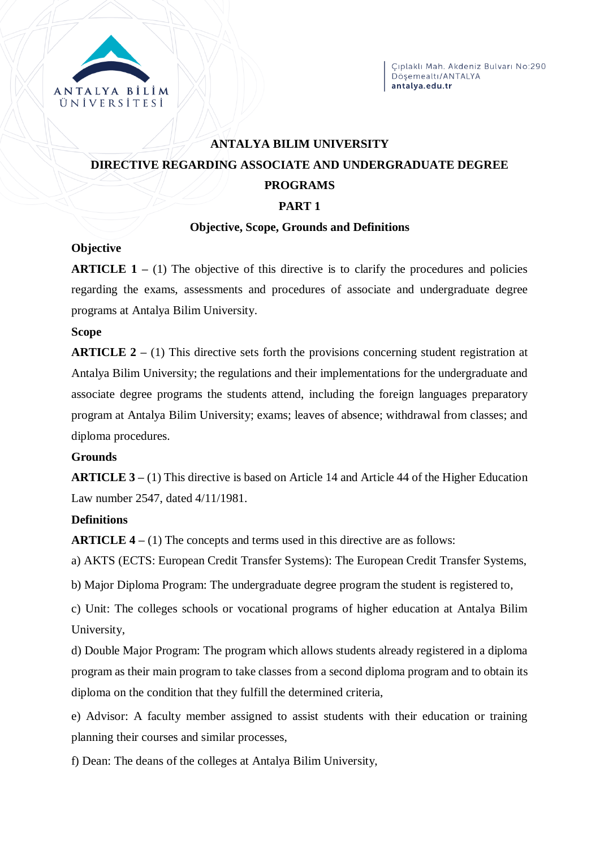

# **ANTALYA BILIM UNIVERSITY DIRECTIVE REGARDING ASSOCIATE AND UNDERGRADUATE DEGREE PROGRAMS PART 1**

#### **Objective, Scope, Grounds and Definitions**

#### **Objective**

**ARTICLE 1** – (1) The objective of this directive is to clarify the procedures and policies regarding the exams, assessments and procedures of associate and undergraduate degree programs at Antalya Bilim University.

# **Scope**

**ARTICLE 2 –** (1) This directive sets forth the provisions concerning student registration at Antalya Bilim University; the regulations and their implementations for the undergraduate and associate degree programs the students attend, including the foreign languages preparatory program at Antalya Bilim University; exams; leaves of absence; withdrawal from classes; and diploma procedures.

# **Grounds**

**ARTICLE 3 –** (1) This directive is based on Article 14 and Article 44 of the Higher Education Law number 2547, dated 4/11/1981.

# **Definitions**

**ARTICLE 4 –** (1) The concepts and terms used in this directive are as follows:

a) AKTS (ECTS: European Credit Transfer Systems): The European Credit Transfer Systems,

b) Major Diploma Program: The undergraduate degree program the student is registered to,

c) Unit: The colleges schools or vocational programs of higher education at Antalya Bilim University,

d) Double Major Program: The program which allows students already registered in a diploma program as their main program to take classes from a second diploma program and to obtain its diploma on the condition that they fulfill the determined criteria,

e) Advisor: A faculty member assigned to assist students with their education or training planning their courses and similar processes,

f) Dean: The deans of the colleges at Antalya Bilim University,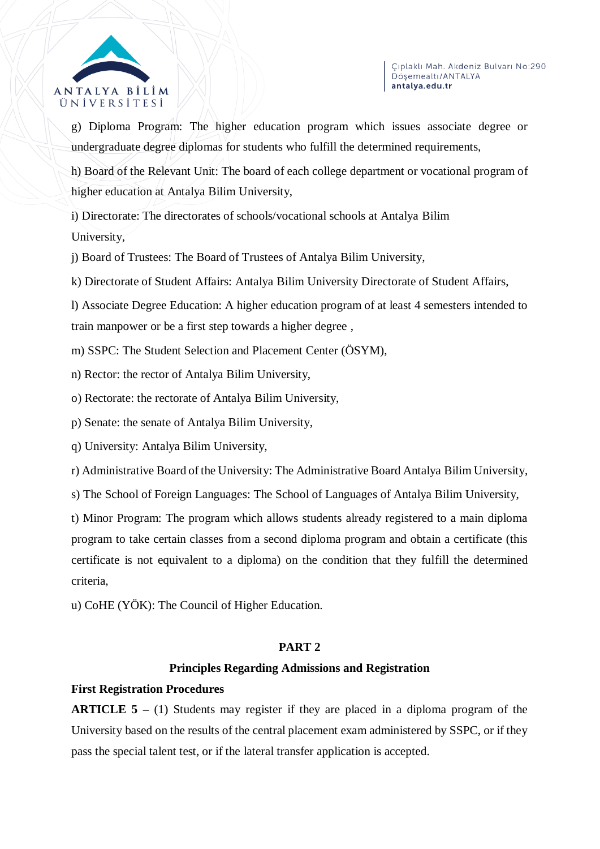

g) Diploma Program: The higher education program which issues associate degree or undergraduate degree diplomas for students who fulfill the determined requirements,

h) Board of the Relevant Unit: The board of each college department or vocational program of higher education at Antalya Bilim University,

i) Directorate: The directorates of schools/vocational schools at Antalya Bilim University,

j) Board of Trustees: The Board of Trustees of Antalya Bilim University,

k) Directorate of Student Affairs: Antalya Bilim University Directorate of Student Affairs,

l) Associate Degree Education: A higher education program of at least 4 semesters intended to train manpower or be a first step towards a higher degree ,

m) SSPC: The Student Selection and Placement Center (ÖSYM),

n) Rector: the rector of Antalya Bilim University,

o) Rectorate: the rectorate of Antalya Bilim University,

p) Senate: the senate of Antalya Bilim University,

q) University: Antalya Bilim University,

r) Administrative Board of the University: The Administrative Board Antalya Bilim University,

s) The School of Foreign Languages: The School of Languages of Antalya Bilim University,

t) Minor Program: The program which allows students already registered to a main diploma program to take certain classes from a second diploma program and obtain a certificate (this certificate is not equivalent to a diploma) on the condition that they fulfill the determined criteria,

u) CoHE (YÖK): The Council of Higher Education.

# **PART 2**

# **Principles Regarding Admissions and Registration**

# **First Registration Procedures**

**ARTICLE 5 –** (1) Students may register if they are placed in a diploma program of the University based on the results of the central placement exam administered by SSPC, or if they pass the special talent test, or if the lateral transfer application is accepted.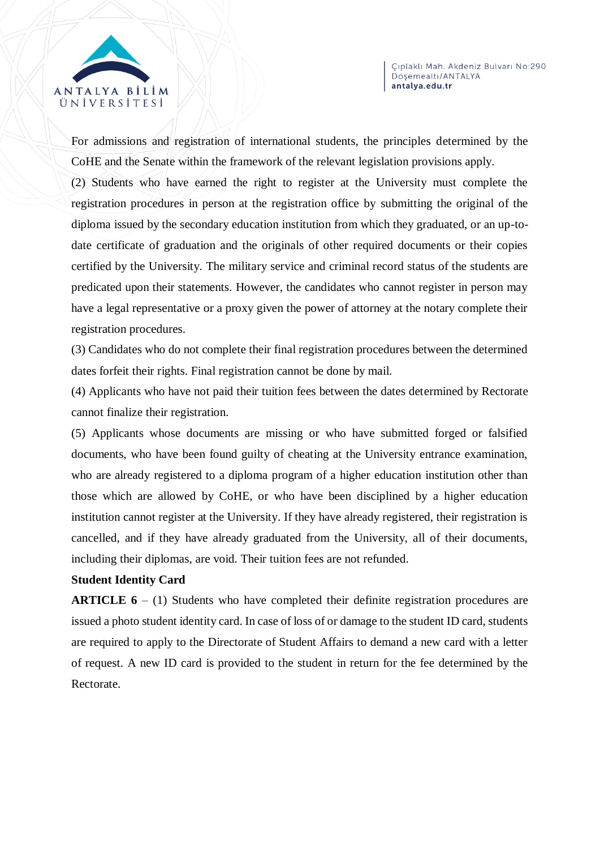

For admissions and registration of international students, the principles determined by the CoHE and the Senate within the framework of the relevant legislation provisions apply.

(2) Students who have earned the right to register at the University must complete the registration procedures in person at the registration office by submitting the original of the diploma issued by the secondary education institution from which they graduated, or an up-todate certificate of graduation and the originals of other required documents or their copies certified by the University. The military service and criminal record status of the students are predicated upon their statements. However, the candidates who cannot register in person may have a legal representative or a proxy given the power of attorney at the notary complete their registration procedures.

(3) Candidates who do not complete their final registration procedures between the determined dates forfeit their rights. Final registration cannot be done by mail.

(4) Applicants who have not paid their tuition fees between the dates determined by Rectorate cannot finalize their registration.

(5) Applicants whose documents are missing or who have submitted forged or falsified documents, who have been found guilty of cheating at the University entrance examination, who are already registered to a diploma program of a higher education institution other than those which are allowed by CoHE, or who have been disciplined by a higher education institution cannot register at the University. If they have already registered, their registration is cancelled, and if they have already graduated from the University, all of their documents, including their diplomas, are void. Their tuition fees are not refunded.

# **Student Identity Card**

**ARTICLE 6** – (1) Students who have completed their definite registration procedures are issued a photo student identity card. In case of loss of or damage to the student ID card, students are required to apply to the Directorate of Student Affairs to demand a new card with a letter of request. A new ID card is provided to the student in return for the fee determined by the Rectorate.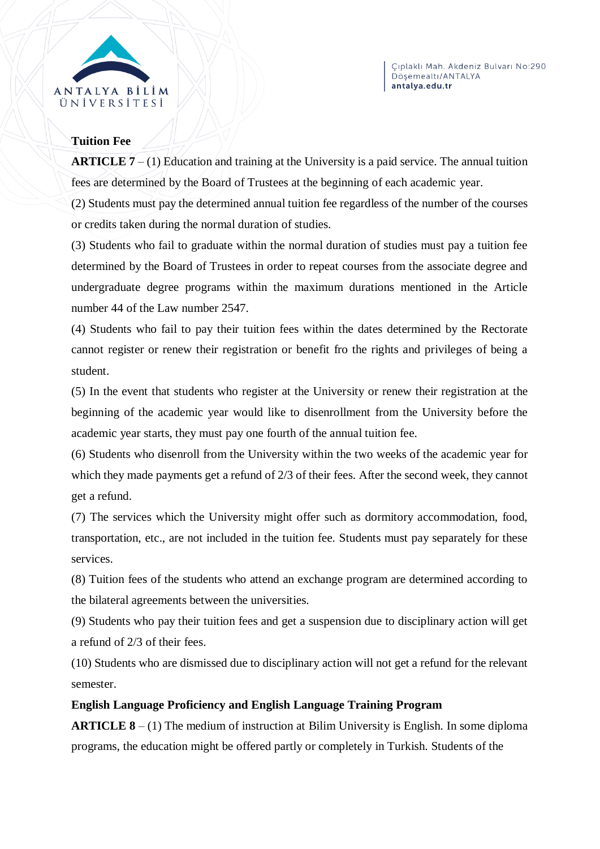

#### **Tuition Fee**

**ARTICLE 7** – (1) Education and training at the University is a paid service. The annual tuition fees are determined by the Board of Trustees at the beginning of each academic year.

(2) Students must pay the determined annual tuition fee regardless of the number of the courses or credits taken during the normal duration of studies.

(3) Students who fail to graduate within the normal duration of studies must pay a tuition fee determined by the Board of Trustees in order to repeat courses from the associate degree and undergraduate degree programs within the maximum durations mentioned in the Article number 44 of the Law number 2547.

(4) Students who fail to pay their tuition fees within the dates determined by the Rectorate cannot register or renew their registration or benefit fro the rights and privileges of being a student.

(5) In the event that students who register at the University or renew their registration at the beginning of the academic year would like to disenrollment from the University before the academic year starts, they must pay one fourth of the annual tuition fee.

(6) Students who disenroll from the University within the two weeks of the academic year for which they made payments get a refund of 2/3 of their fees. After the second week, they cannot get a refund.

(7) The services which the University might offer such as dormitory accommodation, food, transportation, etc., are not included in the tuition fee. Students must pay separately for these services.

(8) Tuition fees of the students who attend an exchange program are determined according to the bilateral agreements between the universities.

(9) Students who pay their tuition fees and get a suspension due to disciplinary action will get a refund of 2/3 of their fees.

(10) Students who are dismissed due to disciplinary action will not get a refund for the relevant semester.

# **English Language Proficiency and English Language Training Program**

**ARTICLE 8** – (1) The medium of instruction at Bilim University is English. In some diploma programs, the education might be offered partly or completely in Turkish. Students of the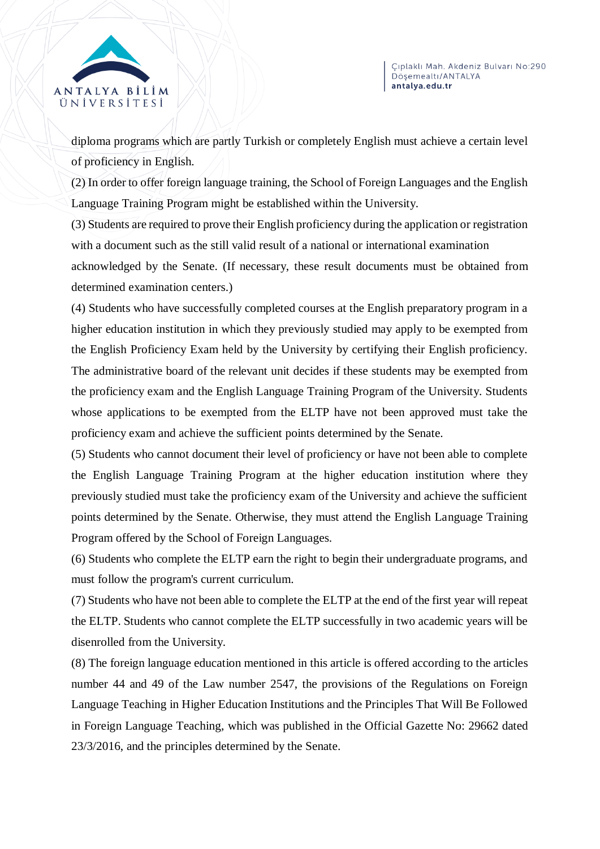



diploma programs which are partly Turkish or completely English must achieve a certain level of proficiency in English.

(2) In order to offer foreign language training, the School of Foreign Languages and the English Language Training Program might be established within the University.

(3) Students are required to prove their English proficiency during the application or registration with a document such as the still valid result of a national or international examination acknowledged by the Senate. (If necessary, these result documents must be obtained from

determined examination centers.)

(4) Students who have successfully completed courses at the English preparatory program in a higher education institution in which they previously studied may apply to be exempted from the English Proficiency Exam held by the University by certifying their English proficiency. The administrative board of the relevant unit decides if these students may be exempted from the proficiency exam and the English Language Training Program of the University. Students whose applications to be exempted from the ELTP have not been approved must take the proficiency exam and achieve the sufficient points determined by the Senate.

(5) Students who cannot document their level of proficiency or have not been able to complete the English Language Training Program at the higher education institution where they previously studied must take the proficiency exam of the University and achieve the sufficient points determined by the Senate. Otherwise, they must attend the English Language Training Program offered by the School of Foreign Languages.

(6) Students who complete the ELTP earn the right to begin their undergraduate programs, and must follow the program's current curriculum.

(7) Students who have not been able to complete the ELTP at the end of the first year will repeat the ELTP. Students who cannot complete the ELTP successfully in two academic years will be disenrolled from the University.

(8) The foreign language education mentioned in this article is offered according to the articles number 44 and 49 of the Law number 2547, the provisions of the Regulations on Foreign Language Teaching in Higher Education Institutions and the Principles That Will Be Followed in Foreign Language Teaching, which was published in the Official Gazette No: 29662 dated 23/3/2016, and the principles determined by the Senate.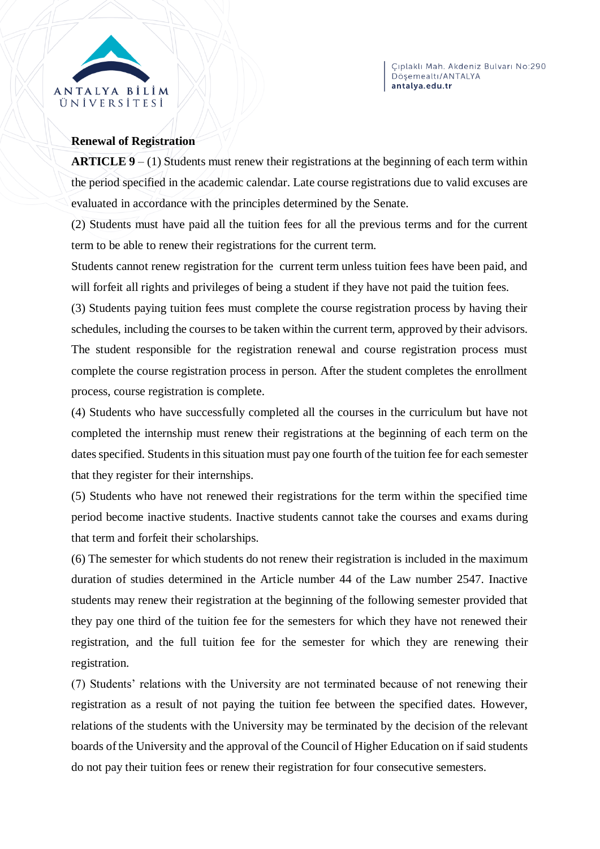

# **Renewal of Registration**

**ARTICLE 9** – (1) Students must renew their registrations at the beginning of each term within the period specified in the academic calendar. Late course registrations due to valid excuses are evaluated in accordance with the principles determined by the Senate.

(2) Students must have paid all the tuition fees for all the previous terms and for the current term to be able to renew their registrations for the current term.

Students cannot renew registration for the current term unless tuition fees have been paid, and will forfeit all rights and privileges of being a student if they have not paid the tuition fees.

(3) Students paying tuition fees must complete the course registration process by having their schedules, including the courses to be taken within the current term, approved by their advisors. The student responsible for the registration renewal and course registration process must complete the course registration process in person. After the student completes the enrollment process, course registration is complete.

(4) Students who have successfully completed all the courses in the curriculum but have not completed the internship must renew their registrations at the beginning of each term on the dates specified. Students in this situation must pay one fourth of the tuition fee for each semester that they register for their internships.

(5) Students who have not renewed their registrations for the term within the specified time period become inactive students. Inactive students cannot take the courses and exams during that term and forfeit their scholarships.

(6) The semester for which students do not renew their registration is included in the maximum duration of studies determined in the Article number 44 of the Law number 2547. Inactive students may renew their registration at the beginning of the following semester provided that they pay one third of the tuition fee for the semesters for which they have not renewed their registration, and the full tuition fee for the semester for which they are renewing their registration.

(7) Students' relations with the University are not terminated because of not renewing their registration as a result of not paying the tuition fee between the specified dates. However, relations of the students with the University may be terminated by the decision of the relevant boards of the University and the approval of the Council of Higher Education on if said students do not pay their tuition fees or renew their registration for four consecutive semesters.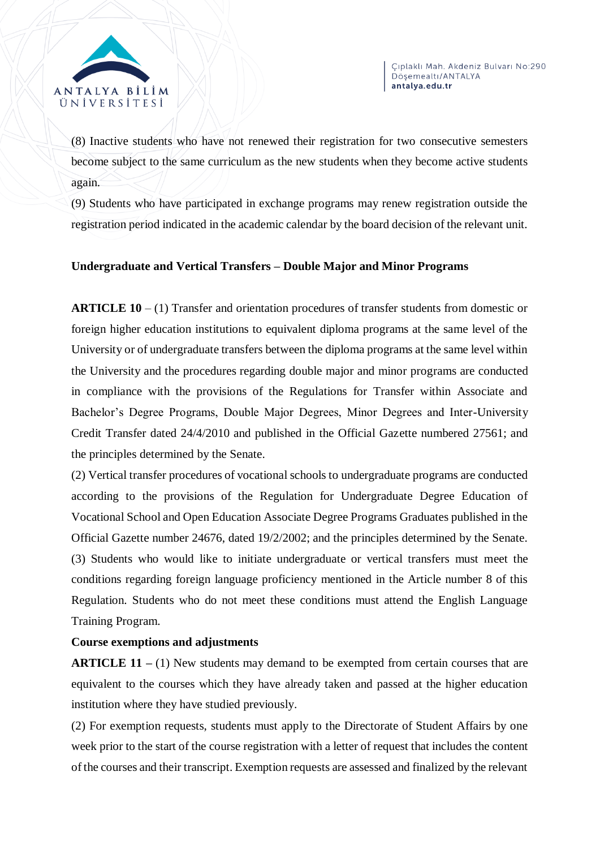

(8) Inactive students who have not renewed their registration for two consecutive semesters become subject to the same curriculum as the new students when they become active students again.

(9) Students who have participated in exchange programs may renew registration outside the registration period indicated in the academic calendar by the board decision of the relevant unit.

# **Undergraduate and Vertical Transfers – Double Major and Minor Programs**

**ARTICLE 10** – (1) Transfer and orientation procedures of transfer students from domestic or foreign higher education institutions to equivalent diploma programs at the same level of the University or of undergraduate transfers between the diploma programs at the same level within the University and the procedures regarding double major and minor programs are conducted in compliance with the provisions of the Regulations for Transfer within Associate and Bachelor's Degree Programs, Double Major Degrees, Minor Degrees and Inter-University Credit Transfer dated 24/4/2010 and published in the Official Gazette numbered 27561; and the principles determined by the Senate.

(2) Vertical transfer procedures of vocational schools to undergraduate programs are conducted according to the provisions of the Regulation for Undergraduate Degree Education of Vocational School and Open Education Associate Degree Programs Graduates published in the Official Gazette number 24676, dated 19/2/2002; and the principles determined by the Senate. (3) Students who would like to initiate undergraduate or vertical transfers must meet the conditions regarding foreign language proficiency mentioned in the Article number 8 of this Regulation. Students who do not meet these conditions must attend the English Language Training Program.

# **Course exemptions and adjustments**

**ARTICLE 11** – (1) New students may demand to be exempted from certain courses that are equivalent to the courses which they have already taken and passed at the higher education institution where they have studied previously.

(2) For exemption requests, students must apply to the Directorate of Student Affairs by one week prior to the start of the course registration with a letter of request that includes the content of the courses and their transcript. Exemption requests are assessed and finalized by the relevant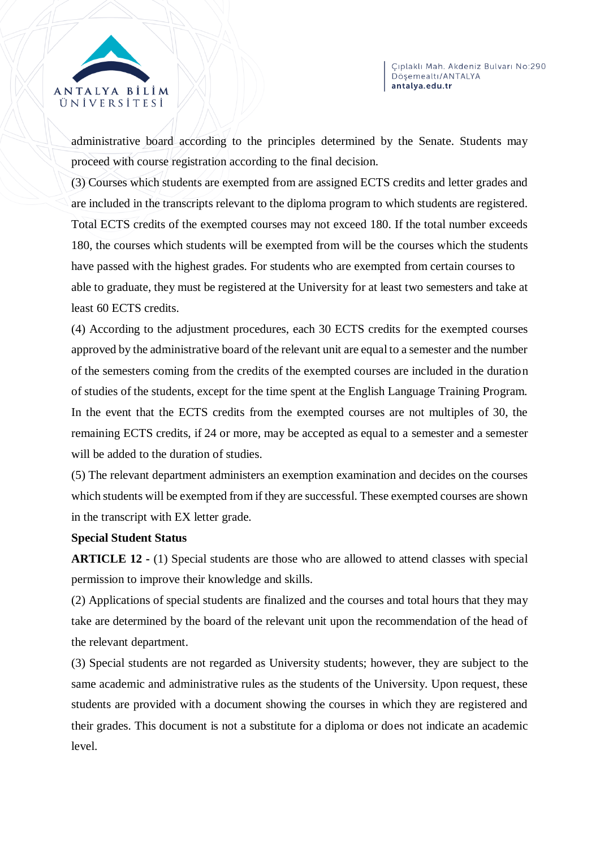

administrative board according to the principles determined by the Senate. Students may proceed with course registration according to the final decision.

(3) Courses which students are exempted from are assigned ECTS credits and letter grades and are included in the transcripts relevant to the diploma program to which students are registered. Total ECTS credits of the exempted courses may not exceed 180. If the total number exceeds 180, the courses which students will be exempted from will be the courses which the students have passed with the highest grades. For students who are exempted from certain courses to able to graduate, they must be registered at the University for at least two semesters and take at least 60 ECTS credits.

(4) According to the adjustment procedures, each 30 ECTS credits for the exempted courses approved by the administrative board of the relevant unit are equal to a semester and the number of the semesters coming from the credits of the exempted courses are included in the duration of studies of the students, except for the time spent at the English Language Training Program. In the event that the ECTS credits from the exempted courses are not multiples of 30, the remaining ECTS credits, if 24 or more, may be accepted as equal to a semester and a semester will be added to the duration of studies.

(5) The relevant department administers an exemption examination and decides on the courses which students will be exempted from if they are successful. These exempted courses are shown in the transcript with EX letter grade.

# **Special Student Status**

**ARTICLE 12 -** (1) Special students are those who are allowed to attend classes with special permission to improve their knowledge and skills.

(2) Applications of special students are finalized and the courses and total hours that they may take are determined by the board of the relevant unit upon the recommendation of the head of the relevant department.

(3) Special students are not regarded as University students; however, they are subject to the same academic and administrative rules as the students of the University. Upon request, these students are provided with a document showing the courses in which they are registered and their grades. This document is not a substitute for a diploma or does not indicate an academic level.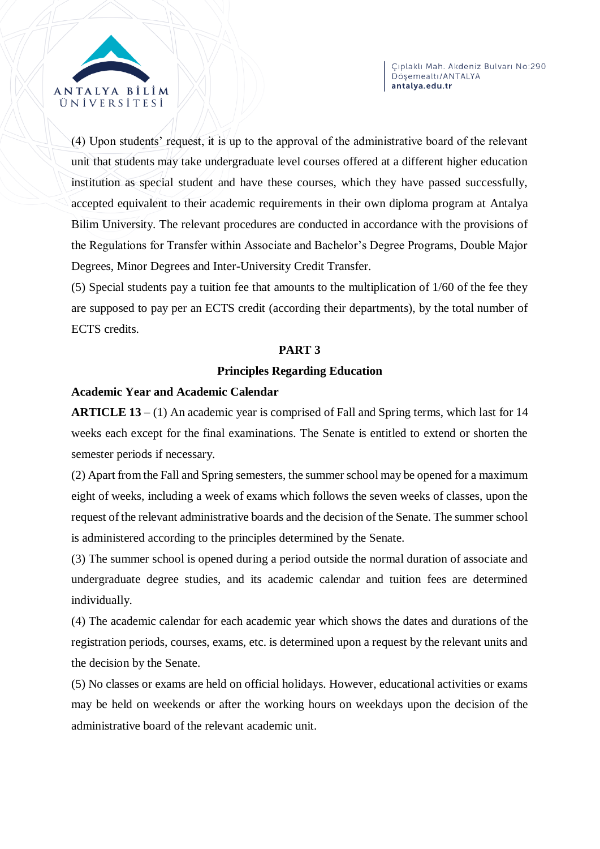

(4) Upon students' request, it is up to the approval of the administrative board of the relevant unit that students may take undergraduate level courses offered at a different higher education institution as special student and have these courses, which they have passed successfully, accepted equivalent to their academic requirements in their own diploma program at Antalya Bilim University. The relevant procedures are conducted in accordance with the provisions of the Regulations for Transfer within Associate and Bachelor's Degree Programs, Double Major Degrees, Minor Degrees and Inter-University Credit Transfer.

(5) Special students pay a tuition fee that amounts to the multiplication of 1/60 of the fee they are supposed to pay per an ECTS credit (according their departments), by the total number of ECTS credits.

#### **PART 3**

# **Principles Regarding Education**

#### **Academic Year and Academic Calendar**

**ARTICLE 13** – (1) An academic year is comprised of Fall and Spring terms, which last for 14 weeks each except for the final examinations. The Senate is entitled to extend or shorten the semester periods if necessary.

(2) Apart from the Fall and Spring semesters, the summer school may be opened for a maximum eight of weeks, including a week of exams which follows the seven weeks of classes, upon the request of the relevant administrative boards and the decision of the Senate. The summer school is administered according to the principles determined by the Senate.

(3) The summer school is opened during a period outside the normal duration of associate and undergraduate degree studies, and its academic calendar and tuition fees are determined individually.

(4) The academic calendar for each academic year which shows the dates and durations of the registration periods, courses, exams, etc. is determined upon a request by the relevant units and the decision by the Senate.

(5) No classes or exams are held on official holidays. However, educational activities or exams may be held on weekends or after the working hours on weekdays upon the decision of the administrative board of the relevant academic unit.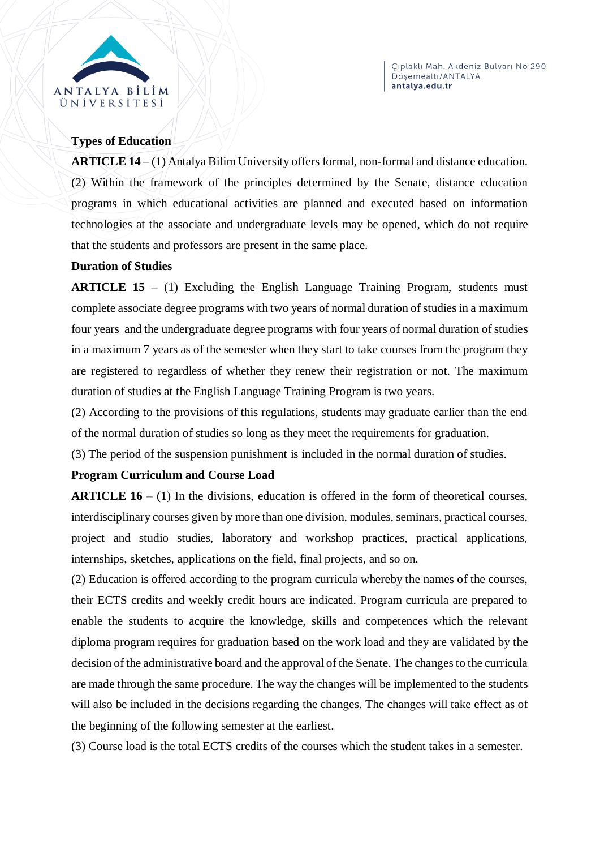

#### **Types of Education**

**ARTICLE 14** – (1) Antalya Bilim University offers formal, non-formal and distance education. (2) Within the framework of the principles determined by the Senate, distance education programs in which educational activities are planned and executed based on information technologies at the associate and undergraduate levels may be opened, which do not require that the students and professors are present in the same place.

#### **Duration of Studies**

**ARTICLE 15** – (1) Excluding the English Language Training Program, students must complete associate degree programs with two years of normal duration of studies in a maximum four years and the undergraduate degree programs with four years of normal duration of studies in a maximum 7 years as of the semester when they start to take courses from the program they are registered to regardless of whether they renew their registration or not. The maximum duration of studies at the English Language Training Program is two years.

(2) According to the provisions of this regulations, students may graduate earlier than the end of the normal duration of studies so long as they meet the requirements for graduation.

(3) The period of the suspension punishment is included in the normal duration of studies.

# **Program Curriculum and Course Load**

**ARTICLE 16** – (1) In the divisions, education is offered in the form of theoretical courses, interdisciplinary courses given by more than one division, modules, seminars, practical courses, project and studio studies, laboratory and workshop practices, practical applications, internships, sketches, applications on the field, final projects, and so on.

(2) Education is offered according to the program curricula whereby the names of the courses, their ECTS credits and weekly credit hours are indicated. Program curricula are prepared to enable the students to acquire the knowledge, skills and competences which the relevant diploma program requires for graduation based on the work load and they are validated by the decision of the administrative board and the approval of the Senate. The changes to the curricula are made through the same procedure. The way the changes will be implemented to the students will also be included in the decisions regarding the changes. The changes will take effect as of the beginning of the following semester at the earliest.

(3) Course load is the total ECTS credits of the courses which the student takes in a semester.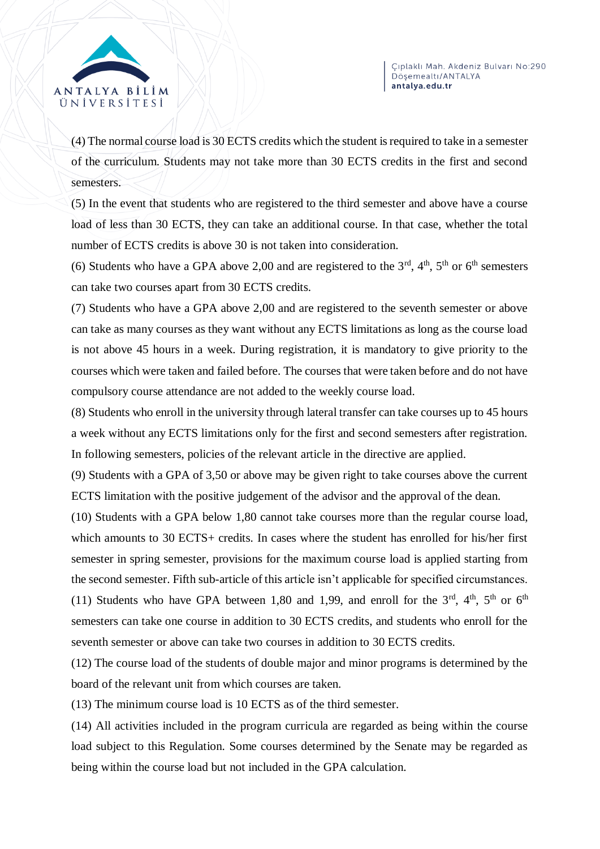



(4) The normal course load is 30 ECTS credits which the student is required to take in a semester of the curriculum. Students may not take more than 30 ECTS credits in the first and second semesters.

(5) In the event that students who are registered to the third semester and above have a course load of less than 30 ECTS, they can take an additional course. In that case, whether the total number of ECTS credits is above 30 is not taken into consideration.

(6) Students who have a GPA above 2,00 and are registered to the  $3<sup>rd</sup>$ ,  $4<sup>th</sup>$ ,  $5<sup>th</sup>$  or  $6<sup>th</sup>$  semesters can take two courses apart from 30 ECTS credits.

(7) Students who have a GPA above 2,00 and are registered to the seventh semester or above can take as many courses as they want without any ECTS limitations as long as the course load is not above 45 hours in a week. During registration, it is mandatory to give priority to the courses which were taken and failed before. The courses that were taken before and do not have compulsory course attendance are not added to the weekly course load.

(8) Students who enroll in the university through lateral transfer can take courses up to 45 hours a week without any ECTS limitations only for the first and second semesters after registration. In following semesters, policies of the relevant article in the directive are applied.

(9) Students with a GPA of 3,50 or above may be given right to take courses above the current ECTS limitation with the positive judgement of the advisor and the approval of the dean.

(10) Students with a GPA below 1,80 cannot take courses more than the regular course load, which amounts to 30 ECTS+ credits. In cases where the student has enrolled for his/her first semester in spring semester, provisions for the maximum course load is applied starting from the second semester. Fifth sub-article of this article isn't applicable for specified circumstances. (11) Students who have GPA between 1,80 and 1,99, and enroll for the  $3<sup>rd</sup>$ ,  $4<sup>th</sup>$ ,  $5<sup>th</sup>$  or  $6<sup>th</sup>$ semesters can take one course in addition to 30 ECTS credits, and students who enroll for the seventh semester or above can take two courses in addition to 30 ECTS credits.

(12) The course load of the students of double major and minor programs is determined by the board of the relevant unit from which courses are taken.

(13) The minimum course load is 10 ECTS as of the third semester.

(14) All activities included in the program curricula are regarded as being within the course load subject to this Regulation. Some courses determined by the Senate may be regarded as being within the course load but not included in the GPA calculation.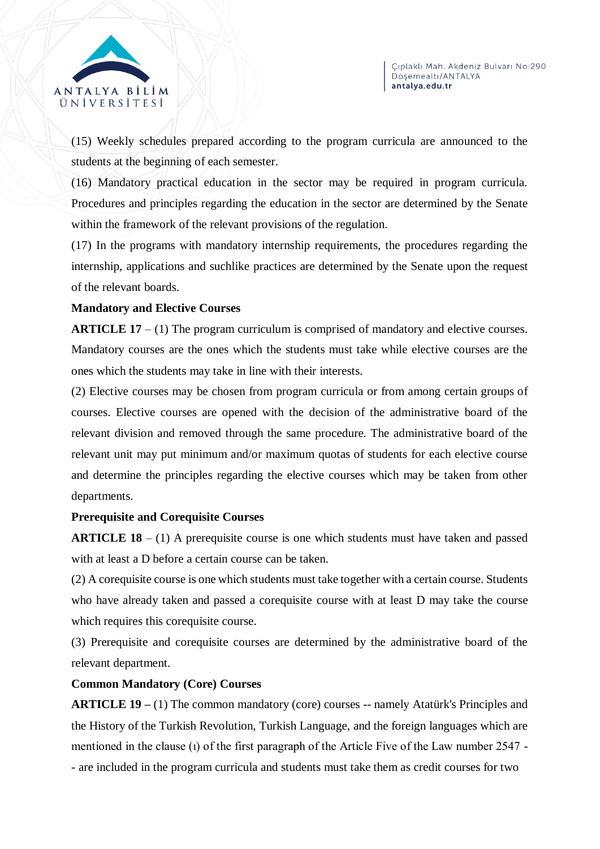



(15) Weekly schedules prepared according to the program curricula are announced to the students at the beginning of each semester.

(16) Mandatory practical education in the sector may be required in program curricula. Procedures and principles regarding the education in the sector are determined by the Senate within the framework of the relevant provisions of the regulation.

(17) In the programs with mandatory internship requirements, the procedures regarding the internship, applications and suchlike practices are determined by the Senate upon the request of the relevant boards.

# **Mandatory and Elective Courses**

**ARTICLE 17** – (1) The program curriculum is comprised of mandatory and elective courses. Mandatory courses are the ones which the students must take while elective courses are the ones which the students may take in line with their interests.

(2) Elective courses may be chosen from program curricula or from among certain groups of courses. Elective courses are opened with the decision of the administrative board of the relevant division and removed through the same procedure. The administrative board of the relevant unit may put minimum and/or maximum quotas of students for each elective course and determine the principles regarding the elective courses which may be taken from other departments.

# **Prerequisite and Corequisite Courses**

**ARTICLE 18** – (1) A prerequisite course is one which students must have taken and passed with at least a D before a certain course can be taken.

(2) A corequisite course is one which students must take together with a certain course. Students who have already taken and passed a corequisite course with at least D may take the course which requires this corequisite course.

(3) Prerequisite and corequisite courses are determined by the administrative board of the relevant department.

# **Common Mandatory (Core) Courses**

**ARTICLE 19 –** (1) The common mandatory (core) courses -- namely Atatürk's Principles and the History of the Turkish Revolution, Turkish Language, and the foreign languages which are mentioned in the clause (ı) of the first paragraph of the Article Five of the Law number 2547 - - are included in the program curricula and students must take them as credit courses for two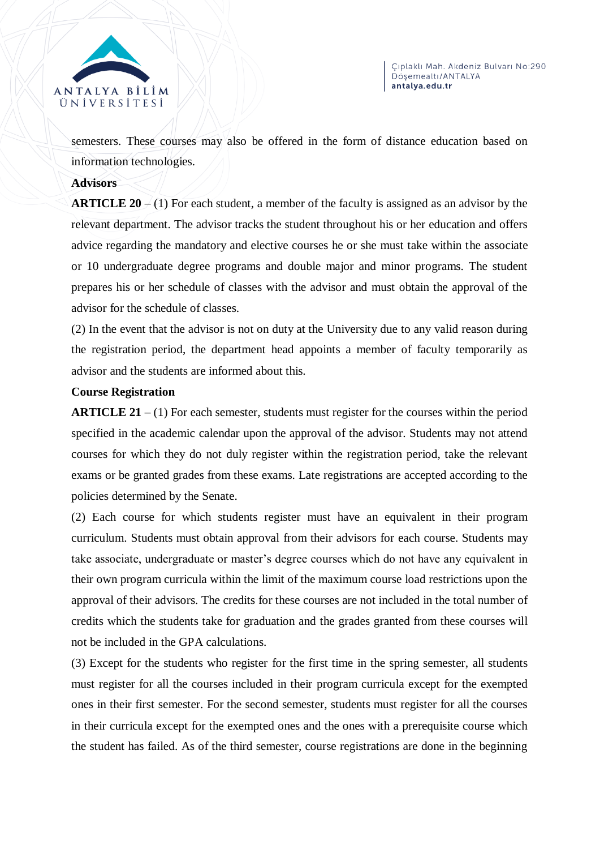

semesters. These courses may also be offered in the form of distance education based on information technologies.

#### **Advisors**

**ARTICLE 20** – (1) For each student, a member of the faculty is assigned as an advisor by the relevant department. The advisor tracks the student throughout his or her education and offers advice regarding the mandatory and elective courses he or she must take within the associate or 10 undergraduate degree programs and double major and minor programs. The student prepares his or her schedule of classes with the advisor and must obtain the approval of the advisor for the schedule of classes.

(2) In the event that the advisor is not on duty at the University due to any valid reason during the registration period, the department head appoints a member of faculty temporarily as advisor and the students are informed about this.

#### **Course Registration**

**ARTICLE 21** – (1) For each semester, students must register for the courses within the period specified in the academic calendar upon the approval of the advisor. Students may not attend courses for which they do not duly register within the registration period, take the relevant exams or be granted grades from these exams. Late registrations are accepted according to the policies determined by the Senate.

(2) Each course for which students register must have an equivalent in their program curriculum. Students must obtain approval from their advisors for each course. Students may take associate, undergraduate or master's degree courses which do not have any equivalent in their own program curricula within the limit of the maximum course load restrictions upon the approval of their advisors. The credits for these courses are not included in the total number of credits which the students take for graduation and the grades granted from these courses will not be included in the GPA calculations.

(3) Except for the students who register for the first time in the spring semester, all students must register for all the courses included in their program curricula except for the exempted ones in their first semester. For the second semester, students must register for all the courses in their curricula except for the exempted ones and the ones with a prerequisite course which the student has failed. As of the third semester, course registrations are done in the beginning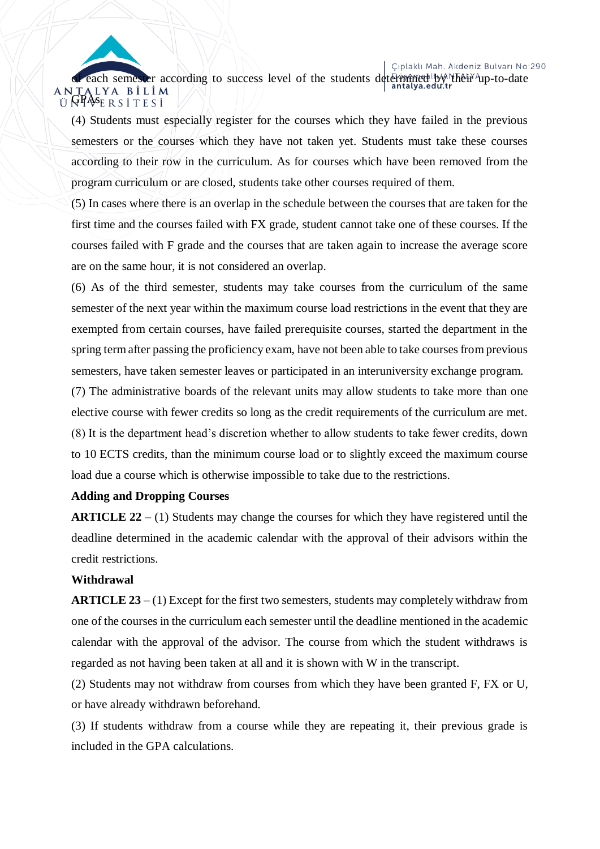Çıplaklı Mah. Akdeniz Bulvarı No:290

each semester according to success level of the students determined by NTheir up-to-date ANTALYA BİLİM<br>Ü**GPA**SERSITESİ

(4) Students must especially register for the courses which they have failed in the previous semesters or the courses which they have not taken yet. Students must take these courses according to their row in the curriculum. As for courses which have been removed from the program curriculum or are closed, students take other courses required of them.

(5) In cases where there is an overlap in the schedule between the courses that are taken for the first time and the courses failed with FX grade, student cannot take one of these courses. If the courses failed with F grade and the courses that are taken again to increase the average score are on the same hour, it is not considered an overlap.

(6) As of the third semester, students may take courses from the curriculum of the same semester of the next year within the maximum course load restrictions in the event that they are exempted from certain courses, have failed prerequisite courses, started the department in the spring term after passing the proficiency exam, have not been able to take courses from previous semesters, have taken semester leaves or participated in an interuniversity exchange program.

(7) The administrative boards of the relevant units may allow students to take more than one elective course with fewer credits so long as the credit requirements of the curriculum are met. (8) It is the department head's discretion whether to allow students to take fewer credits, down to 10 ECTS credits, than the minimum course load or to slightly exceed the maximum course load due a course which is otherwise impossible to take due to the restrictions.

#### **Adding and Dropping Courses**

**ARTICLE 22** – (1) Students may change the courses for which they have registered until the deadline determined in the academic calendar with the approval of their advisors within the credit restrictions.

#### **Withdrawal**

**ARTICLE 23** – (1) Except for the first two semesters, students may completely withdraw from one of the courses in the curriculum each semester until the deadline mentioned in the academic calendar with the approval of the advisor. The course from which the student withdraws is regarded as not having been taken at all and it is shown with W in the transcript.

(2) Students may not withdraw from courses from which they have been granted F, FX or U, or have already withdrawn beforehand.

(3) If students withdraw from a course while they are repeating it, their previous grade is included in the GPA calculations.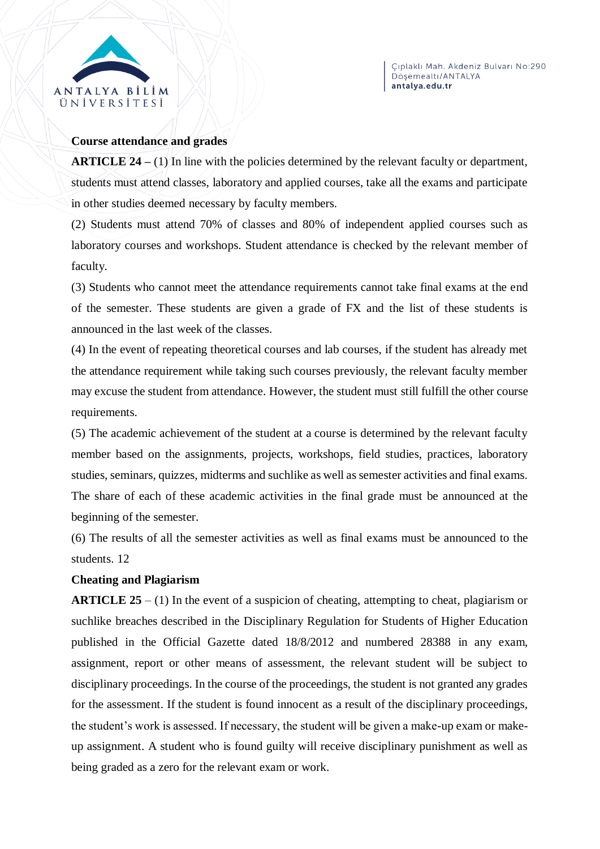

#### **Course attendance and grades**

**ARTICLE 24 –** (1) In line with the policies determined by the relevant faculty or department, students must attend classes, laboratory and applied courses, take all the exams and participate in other studies deemed necessary by faculty members.

(2) Students must attend 70% of classes and 80% of independent applied courses such as laboratory courses and workshops. Student attendance is checked by the relevant member of faculty.

(3) Students who cannot meet the attendance requirements cannot take final exams at the end of the semester. These students are given a grade of FX and the list of these students is announced in the last week of the classes.

(4) In the event of repeating theoretical courses and lab courses, if the student has already met the attendance requirement while taking such courses previously, the relevant faculty member may excuse the student from attendance. However, the student must still fulfill the other course requirements.

(5) The academic achievement of the student at a course is determined by the relevant faculty member based on the assignments, projects, workshops, field studies, practices, laboratory studies, seminars, quizzes, midterms and suchlike as well as semester activities and final exams. The share of each of these academic activities in the final grade must be announced at the beginning of the semester.

(6) The results of all the semester activities as well as final exams must be announced to the students. 12

# **Cheating and Plagiarism**

**ARTICLE 25** – (1) In the event of a suspicion of cheating, attempting to cheat, plagiarism or suchlike breaches described in the Disciplinary Regulation for Students of Higher Education published in the Official Gazette dated 18/8/2012 and numbered 28388 in any exam, assignment, report or other means of assessment, the relevant student will be subject to disciplinary proceedings. In the course of the proceedings, the student is not granted any grades for the assessment. If the student is found innocent as a result of the disciplinary proceedings, the student's work is assessed. If necessary, the student will be given a make-up exam or makeup assignment. A student who is found guilty will receive disciplinary punishment as well as being graded as a zero for the relevant exam or work.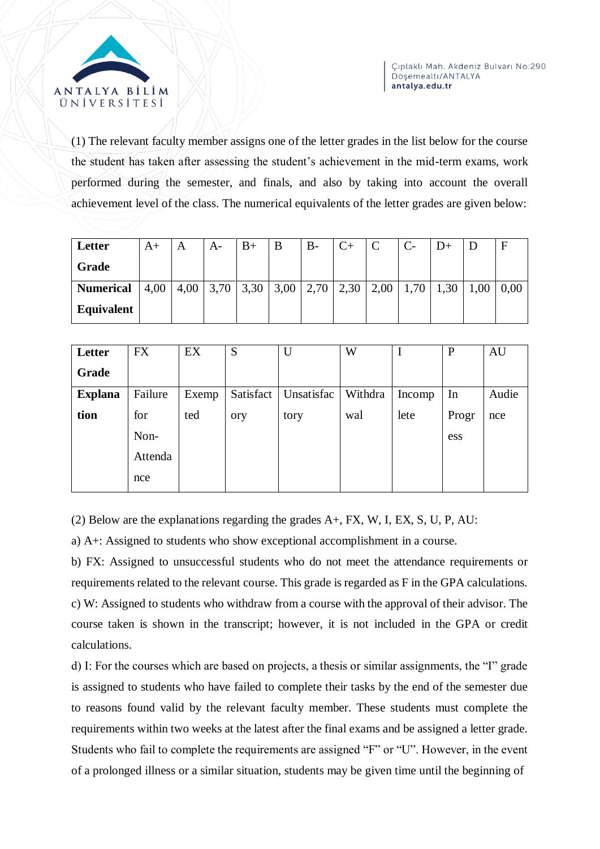

(1) The relevant faculty member assigns one of the letter grades in the list below for the course the student has taken after assessing the student's achievement in the mid-term exams, work performed during the semester, and finals, and also by taking into account the overall achievement level of the class. The numerical equivalents of the letter grades are given below:

| Letter           | A+   | A    | A-   |      |      | B-   |      |      |      |      |      |      |
|------------------|------|------|------|------|------|------|------|------|------|------|------|------|
| Grade            |      |      |      |      |      |      |      |      |      |      |      |      |
| <b>Numerical</b> | 4,00 | 4,00 | 3,70 | 3,30 | 3,00 | 2,70 | 2,30 | 2,00 | 1,70 | 1,30 | 1,00 | 0,00 |
| Equivalent       |      |      |      |      |      |      |      |      |      |      |      |      |

| Letter         | <b>FX</b> | EX    | S         | U          | W       |        | $\mathbf P$ | AU    |
|----------------|-----------|-------|-----------|------------|---------|--------|-------------|-------|
| Grade          |           |       |           |            |         |        |             |       |
| <b>Explana</b> | Failure   | Exemp | Satisfact | Unsatisfac | Withdra | Incomp | In          | Audie |
| tion           | for       | ted   | ory       | tory       | wal     | lete   | Progr       | nce   |
|                | Non-      |       |           |            |         |        | ess         |       |
|                | Attenda   |       |           |            |         |        |             |       |
|                | nce       |       |           |            |         |        |             |       |

(2) Below are the explanations regarding the grades A+, FX, W, I, EX, S, U, P, AU:

a) A+: Assigned to students who show exceptional accomplishment in a course.

b) FX: Assigned to unsuccessful students who do not meet the attendance requirements or requirements related to the relevant course. This grade is regarded as F in the GPA calculations. c) W: Assigned to students who withdraw from a course with the approval of their advisor. The course taken is shown in the transcript; however, it is not included in the GPA or credit calculations.

d) I: For the courses which are based on projects, a thesis or similar assignments, the "I" grade is assigned to students who have failed to complete their tasks by the end of the semester due to reasons found valid by the relevant faculty member. These students must complete the requirements within two weeks at the latest after the final exams and be assigned a letter grade. Students who fail to complete the requirements are assigned "F" or "U". However, in the event of a prolonged illness or a similar situation, students may be given time until the beginning of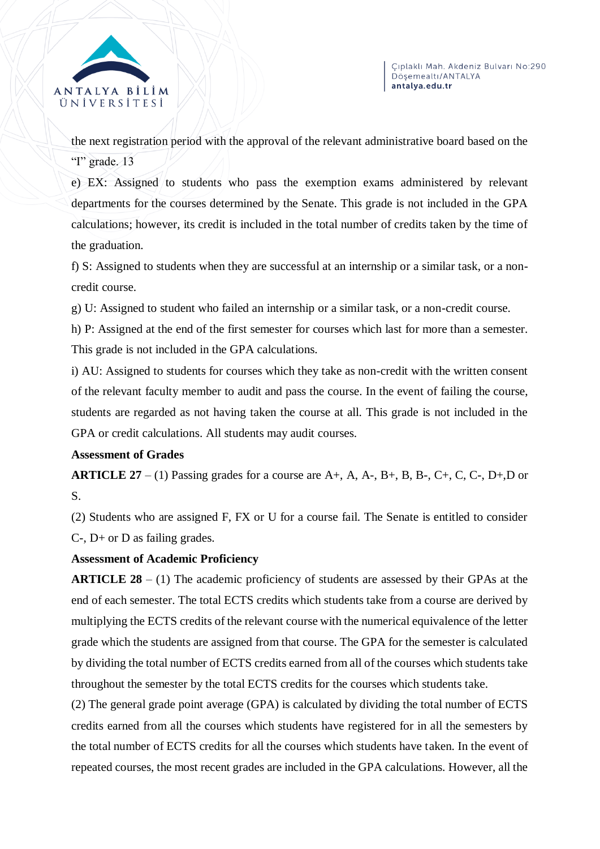

the next registration period with the approval of the relevant administrative board based on the "I" grade. 13

e) EX: Assigned to students who pass the exemption exams administered by relevant departments for the courses determined by the Senate. This grade is not included in the GPA calculations; however, its credit is included in the total number of credits taken by the time of the graduation.

f) S: Assigned to students when they are successful at an internship or a similar task, or a noncredit course.

g) U: Assigned to student who failed an internship or a similar task, or a non-credit course.

h) P: Assigned at the end of the first semester for courses which last for more than a semester. This grade is not included in the GPA calculations.

i) AU: Assigned to students for courses which they take as non-credit with the written consent of the relevant faculty member to audit and pass the course. In the event of failing the course, students are regarded as not having taken the course at all. This grade is not included in the GPA or credit calculations. All students may audit courses.

# **Assessment of Grades**

**ARTICLE 27** – (1) Passing grades for a course are  $A$ +,  $A$ ,  $A$ -,  $B$ +,  $B$ ,  $B$ -,  $C$ +,  $C$ ,  $C$ -,  $D$ +, $D$  or S.

(2) Students who are assigned F, FX or U for a course fail. The Senate is entitled to consider C-, D+ or D as failing grades.

# **Assessment of Academic Proficiency**

**ARTICLE 28** – (1) The academic proficiency of students are assessed by their GPAs at the end of each semester. The total ECTS credits which students take from a course are derived by multiplying the ECTS credits of the relevant course with the numerical equivalence of the letter grade which the students are assigned from that course. The GPA for the semester is calculated by dividing the total number of ECTS credits earned from all of the courses which students take throughout the semester by the total ECTS credits for the courses which students take.

(2) The general grade point average (GPA) is calculated by dividing the total number of ECTS credits earned from all the courses which students have registered for in all the semesters by the total number of ECTS credits for all the courses which students have taken. In the event of repeated courses, the most recent grades are included in the GPA calculations. However, all the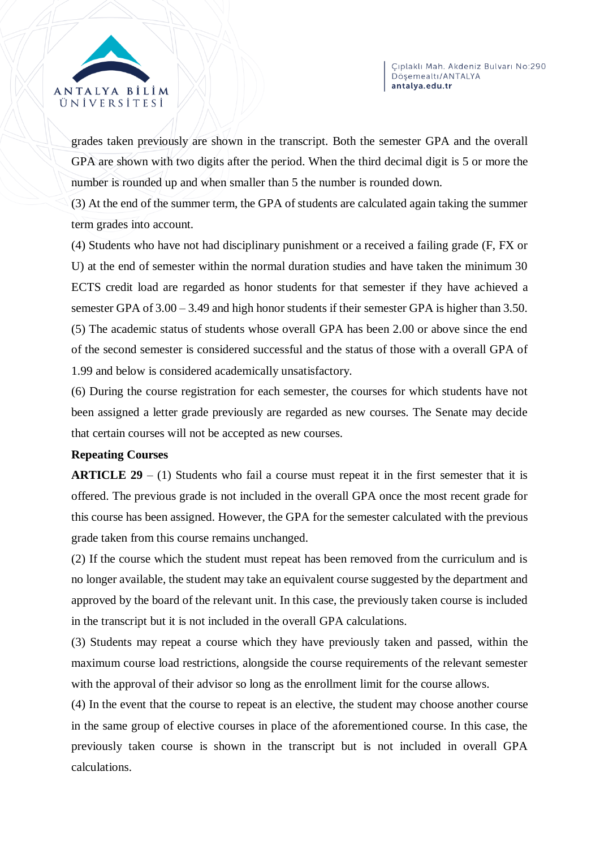

grades taken previously are shown in the transcript. Both the semester GPA and the overall GPA are shown with two digits after the period. When the third decimal digit is 5 or more the number is rounded up and when smaller than 5 the number is rounded down.

(3) At the end of the summer term, the GPA of students are calculated again taking the summer term grades into account.

(4) Students who have not had disciplinary punishment or a received a failing grade (F, FX or U) at the end of semester within the normal duration studies and have taken the minimum 30 ECTS credit load are regarded as honor students for that semester if they have achieved a semester GPA of 3.00 – 3.49 and high honor students if their semester GPA is higher than 3.50. (5) The academic status of students whose overall GPA has been 2.00 or above since the end of the second semester is considered successful and the status of those with a overall GPA of 1.99 and below is considered academically unsatisfactory.

(6) During the course registration for each semester, the courses for which students have not been assigned a letter grade previously are regarded as new courses. The Senate may decide that certain courses will not be accepted as new courses.

# **Repeating Courses**

**ARTICLE 29** – (1) Students who fail a course must repeat it in the first semester that it is offered. The previous grade is not included in the overall GPA once the most recent grade for this course has been assigned. However, the GPA for the semester calculated with the previous grade taken from this course remains unchanged.

(2) If the course which the student must repeat has been removed from the curriculum and is no longer available, the student may take an equivalent course suggested by the department and approved by the board of the relevant unit. In this case, the previously taken course is included in the transcript but it is not included in the overall GPA calculations.

(3) Students may repeat a course which they have previously taken and passed, within the maximum course load restrictions, alongside the course requirements of the relevant semester with the approval of their advisor so long as the enrollment limit for the course allows.

(4) In the event that the course to repeat is an elective, the student may choose another course in the same group of elective courses in place of the aforementioned course. In this case, the previously taken course is shown in the transcript but is not included in overall GPA calculations.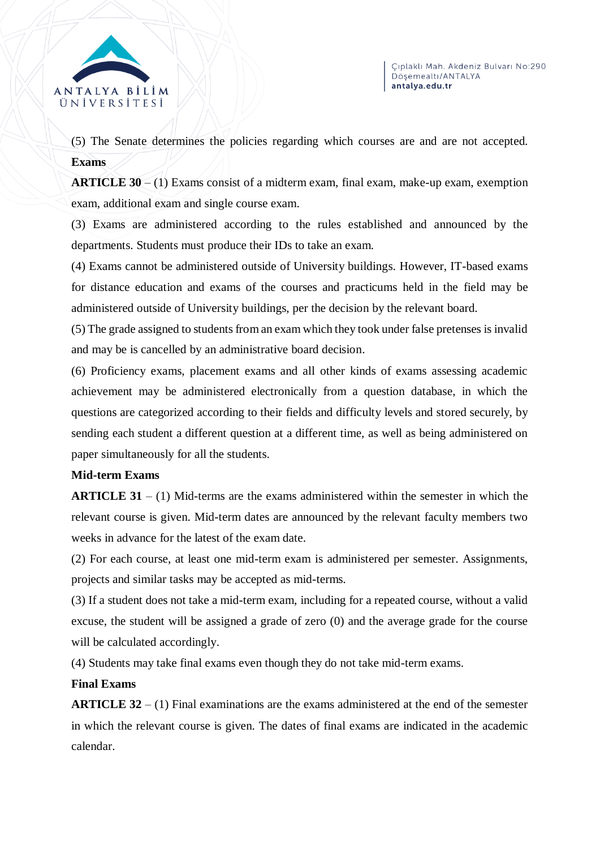

(5) The Senate determines the policies regarding which courses are and are not accepted. **Exams** 

**ARTICLE 30** – (1) Exams consist of a midterm exam, final exam, make-up exam, exemption exam, additional exam and single course exam.

(3) Exams are administered according to the rules established and announced by the departments. Students must produce their IDs to take an exam.

(4) Exams cannot be administered outside of University buildings. However, IT-based exams for distance education and exams of the courses and practicums held in the field may be administered outside of University buildings, per the decision by the relevant board.

(5) The grade assigned to students from an exam which they took under false pretenses is invalid and may be is cancelled by an administrative board decision.

(6) Proficiency exams, placement exams and all other kinds of exams assessing academic achievement may be administered electronically from a question database, in which the questions are categorized according to their fields and difficulty levels and stored securely, by sending each student a different question at a different time, as well as being administered on paper simultaneously for all the students.

# **Mid-term Exams**

**ARTICLE 31** – (1) Mid-terms are the exams administered within the semester in which the relevant course is given. Mid-term dates are announced by the relevant faculty members two weeks in advance for the latest of the exam date.

(2) For each course, at least one mid-term exam is administered per semester. Assignments, projects and similar tasks may be accepted as mid-terms.

(3) If a student does not take a mid-term exam, including for a repeated course, without a valid excuse, the student will be assigned a grade of zero (0) and the average grade for the course will be calculated accordingly.

(4) Students may take final exams even though they do not take mid-term exams.

# **Final Exams**

**ARTICLE 32** – (1) Final examinations are the exams administered at the end of the semester in which the relevant course is given. The dates of final exams are indicated in the academic calendar.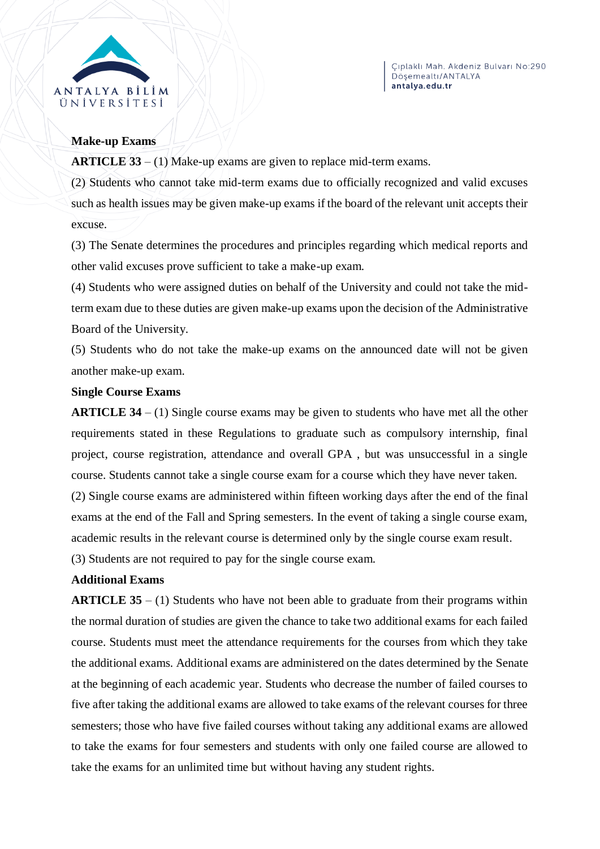

#### **Make-up Exams**

**ARTICLE 33** – (1) Make-up exams are given to replace mid-term exams.

(2) Students who cannot take mid-term exams due to officially recognized and valid excuses such as health issues may be given make-up exams if the board of the relevant unit accepts their excuse.

(3) The Senate determines the procedures and principles regarding which medical reports and other valid excuses prove sufficient to take a make-up exam.

(4) Students who were assigned duties on behalf of the University and could not take the midterm exam due to these duties are given make-up exams upon the decision of the Administrative Board of the University.

(5) Students who do not take the make-up exams on the announced date will not be given another make-up exam.

#### **Single Course Exams**

**ARTICLE 34** – (1) Single course exams may be given to students who have met all the other requirements stated in these Regulations to graduate such as compulsory internship, final project, course registration, attendance and overall GPA , but was unsuccessful in a single course. Students cannot take a single course exam for a course which they have never taken.

(2) Single course exams are administered within fifteen working days after the end of the final exams at the end of the Fall and Spring semesters. In the event of taking a single course exam, academic results in the relevant course is determined only by the single course exam result.

(3) Students are not required to pay for the single course exam.

# **Additional Exams**

**ARTICLE 35** – (1) Students who have not been able to graduate from their programs within the normal duration of studies are given the chance to take two additional exams for each failed course. Students must meet the attendance requirements for the courses from which they take the additional exams. Additional exams are administered on the dates determined by the Senate at the beginning of each academic year. Students who decrease the number of failed courses to five after taking the additional exams are allowed to take exams of the relevant courses for three semesters; those who have five failed courses without taking any additional exams are allowed to take the exams for four semesters and students with only one failed course are allowed to take the exams for an unlimited time but without having any student rights.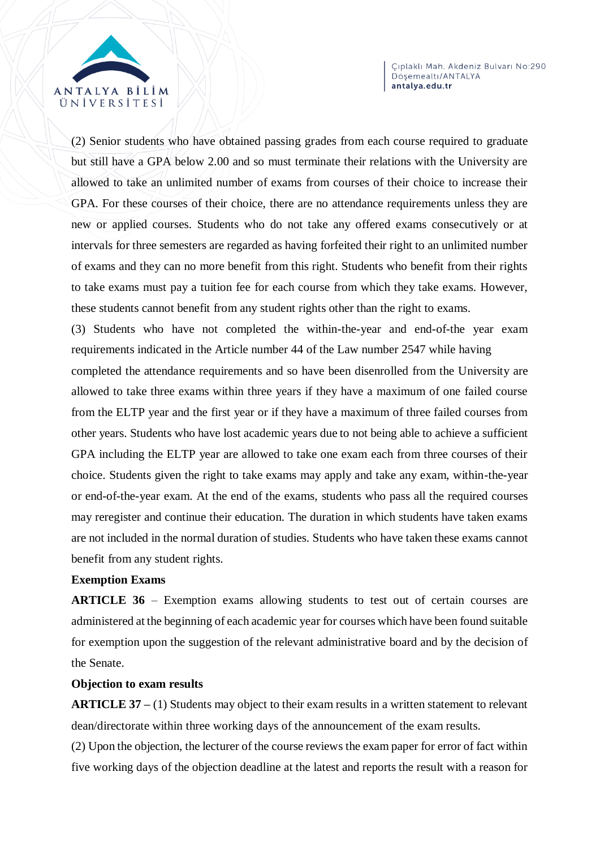

(2) Senior students who have obtained passing grades from each course required to graduate but still have a GPA below 2.00 and so must terminate their relations with the University are allowed to take an unlimited number of exams from courses of their choice to increase their GPA. For these courses of their choice, there are no attendance requirements unless they are new or applied courses. Students who do not take any offered exams consecutively or at intervals for three semesters are regarded as having forfeited their right to an unlimited number of exams and they can no more benefit from this right. Students who benefit from their rights to take exams must pay a tuition fee for each course from which they take exams. However, these students cannot benefit from any student rights other than the right to exams.

(3) Students who have not completed the within-the-year and end-of-the year exam requirements indicated in the Article number 44 of the Law number 2547 while having

completed the attendance requirements and so have been disenrolled from the University are allowed to take three exams within three years if they have a maximum of one failed course from the ELTP year and the first year or if they have a maximum of three failed courses from other years. Students who have lost academic years due to not being able to achieve a sufficient GPA including the ELTP year are allowed to take one exam each from three courses of their choice. Students given the right to take exams may apply and take any exam, within-the-year or end-of-the-year exam. At the end of the exams, students who pass all the required courses may reregister and continue their education. The duration in which students have taken exams are not included in the normal duration of studies. Students who have taken these exams cannot benefit from any student rights.

#### **Exemption Exams**

**ARTICLE 36** – Exemption exams allowing students to test out of certain courses are administered at the beginning of each academic year for courses which have been found suitable for exemption upon the suggestion of the relevant administrative board and by the decision of the Senate.

#### **Objection to exam results**

**ARTICLE 37 –** (1) Students may object to their exam results in a written statement to relevant dean/directorate within three working days of the announcement of the exam results.

(2) Upon the objection, the lecturer of the course reviews the exam paper for error of fact within five working days of the objection deadline at the latest and reports the result with a reason for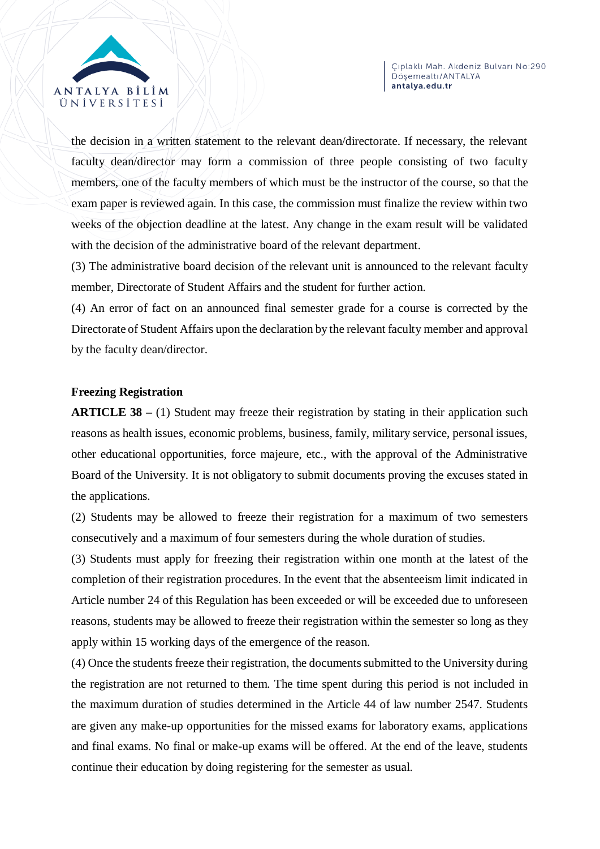



the decision in a written statement to the relevant dean/directorate. If necessary, the relevant faculty dean/director may form a commission of three people consisting of two faculty members, one of the faculty members of which must be the instructor of the course, so that the exam paper is reviewed again. In this case, the commission must finalize the review within two weeks of the objection deadline at the latest. Any change in the exam result will be validated with the decision of the administrative board of the relevant department.

(3) The administrative board decision of the relevant unit is announced to the relevant faculty member, Directorate of Student Affairs and the student for further action.

(4) An error of fact on an announced final semester grade for a course is corrected by the Directorate of Student Affairs upon the declaration by the relevant faculty member and approval by the faculty dean/director.

#### **Freezing Registration**

**ARTICLE 38** – (1) Student may freeze their registration by stating in their application such reasons as health issues, economic problems, business, family, military service, personal issues, other educational opportunities, force majeure, etc., with the approval of the Administrative Board of the University. It is not obligatory to submit documents proving the excuses stated in the applications.

(2) Students may be allowed to freeze their registration for a maximum of two semesters consecutively and a maximum of four semesters during the whole duration of studies.

(3) Students must apply for freezing their registration within one month at the latest of the completion of their registration procedures. In the event that the absenteeism limit indicated in Article number 24 of this Regulation has been exceeded or will be exceeded due to unforeseen reasons, students may be allowed to freeze their registration within the semester so long as they apply within 15 working days of the emergence of the reason.

(4) Once the students freeze their registration, the documents submitted to the University during the registration are not returned to them. The time spent during this period is not included in the maximum duration of studies determined in the Article 44 of law number 2547. Students are given any make-up opportunities for the missed exams for laboratory exams, applications and final exams. No final or make-up exams will be offered. At the end of the leave, students continue their education by doing registering for the semester as usual.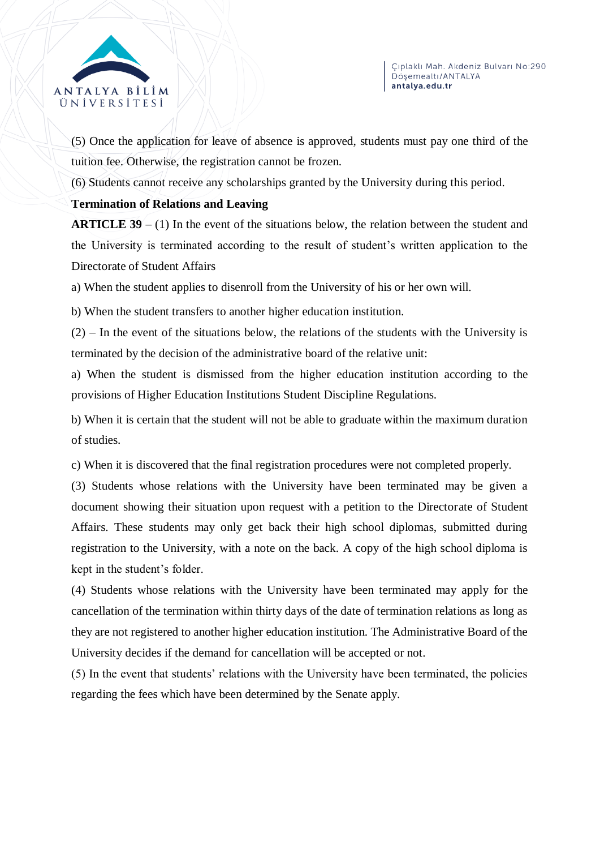



(5) Once the application for leave of absence is approved, students must pay one third of the tuition fee. Otherwise, the registration cannot be frozen.

(6) Students cannot receive any scholarships granted by the University during this period.

# **Termination of Relations and Leaving**

**ARTICLE 39** – (1) In the event of the situations below, the relation between the student and the University is terminated according to the result of student's written application to the Directorate of Student Affairs

a) When the student applies to disenroll from the University of his or her own will.

b) When the student transfers to another higher education institution.

 $(2)$  – In the event of the situations below, the relations of the students with the University is terminated by the decision of the administrative board of the relative unit:

a) When the student is dismissed from the higher education institution according to the provisions of Higher Education Institutions Student Discipline Regulations.

b) When it is certain that the student will not be able to graduate within the maximum duration of studies.

c) When it is discovered that the final registration procedures were not completed properly.

(3) Students whose relations with the University have been terminated may be given a document showing their situation upon request with a petition to the Directorate of Student Affairs. These students may only get back their high school diplomas, submitted during registration to the University, with a note on the back. A copy of the high school diploma is kept in the student's folder.

(4) Students whose relations with the University have been terminated may apply for the cancellation of the termination within thirty days of the date of termination relations as long as they are not registered to another higher education institution. The Administrative Board of the University decides if the demand for cancellation will be accepted or not.

(5) In the event that students' relations with the University have been terminated, the policies regarding the fees which have been determined by the Senate apply.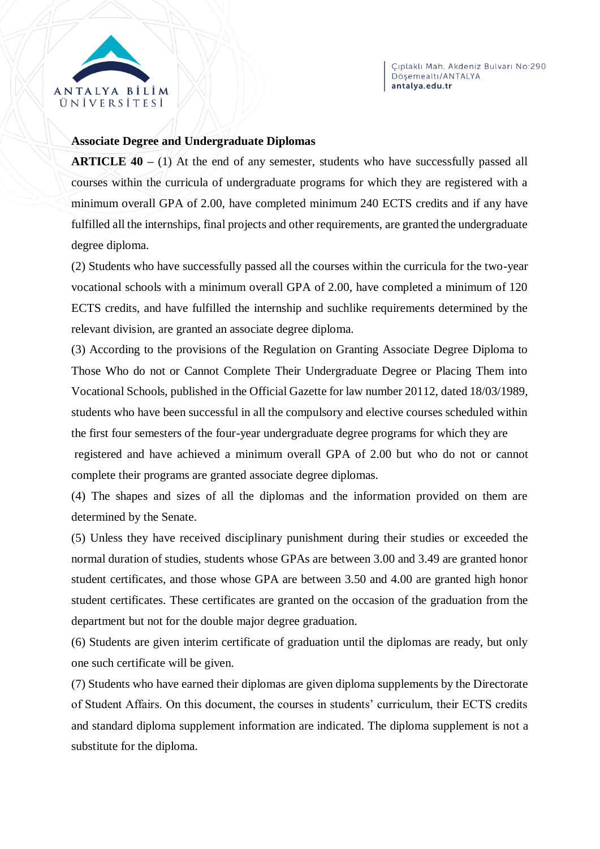

#### **Associate Degree and Undergraduate Diplomas**

**ARTICLE 40** – (1) At the end of any semester, students who have successfully passed all courses within the curricula of undergraduate programs for which they are registered with a minimum overall GPA of 2.00, have completed minimum 240 ECTS credits and if any have fulfilled all the internships, final projects and other requirements, are granted the undergraduate degree diploma.

(2) Students who have successfully passed all the courses within the curricula for the two-year vocational schools with a minimum overall GPA of 2.00, have completed a minimum of 120 ECTS credits, and have fulfilled the internship and suchlike requirements determined by the relevant division, are granted an associate degree diploma.

(3) According to the provisions of the Regulation on Granting Associate Degree Diploma to Those Who do not or Cannot Complete Their Undergraduate Degree or Placing Them into Vocational Schools, published in the Official Gazette for law number 20112, dated 18/03/1989, students who have been successful in all the compulsory and elective courses scheduled within the first four semesters of the four-year undergraduate degree programs for which they are

registered and have achieved a minimum overall GPA of 2.00 but who do not or cannot complete their programs are granted associate degree diplomas.

(4) The shapes and sizes of all the diplomas and the information provided on them are determined by the Senate.

(5) Unless they have received disciplinary punishment during their studies or exceeded the normal duration of studies, students whose GPAs are between 3.00 and 3.49 are granted honor student certificates, and those whose GPA are between 3.50 and 4.00 are granted high honor student certificates. These certificates are granted on the occasion of the graduation from the department but not for the double major degree graduation.

(6) Students are given interim certificate of graduation until the diplomas are ready, but only one such certificate will be given.

(7) Students who have earned their diplomas are given diploma supplements by the Directorate of Student Affairs. On this document, the courses in students' curriculum, their ECTS credits and standard diploma supplement information are indicated. The diploma supplement is not a substitute for the diploma.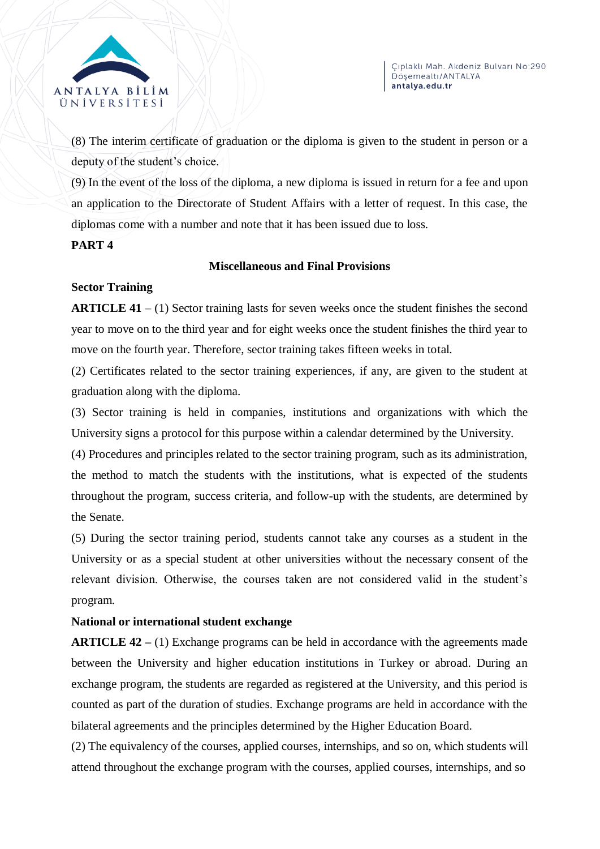

(8) The interim certificate of graduation or the diploma is given to the student in person or a deputy of the student's choice.

(9) In the event of the loss of the diploma, a new diploma is issued in return for a fee and upon an application to the Directorate of Student Affairs with a letter of request. In this case, the diplomas come with a number and note that it has been issued due to loss.

# **PART 4**

# **Miscellaneous and Final Provisions**

# **Sector Training**

**ARTICLE 41** – (1) Sector training lasts for seven weeks once the student finishes the second year to move on to the third year and for eight weeks once the student finishes the third year to move on the fourth year. Therefore, sector training takes fifteen weeks in total.

(2) Certificates related to the sector training experiences, if any, are given to the student at graduation along with the diploma.

(3) Sector training is held in companies, institutions and organizations with which the University signs a protocol for this purpose within a calendar determined by the University.

(4) Procedures and principles related to the sector training program, such as its administration, the method to match the students with the institutions, what is expected of the students throughout the program, success criteria, and follow-up with the students, are determined by the Senate.

(5) During the sector training period, students cannot take any courses as a student in the University or as a special student at other universities without the necessary consent of the relevant division. Otherwise, the courses taken are not considered valid in the student's program.

# **National or international student exchange**

**ARTICLE 42** – (1) Exchange programs can be held in accordance with the agreements made between the University and higher education institutions in Turkey or abroad. During an exchange program, the students are regarded as registered at the University, and this period is counted as part of the duration of studies. Exchange programs are held in accordance with the bilateral agreements and the principles determined by the Higher Education Board.

(2) The equivalency of the courses, applied courses, internships, and so on, which students will attend throughout the exchange program with the courses, applied courses, internships, and so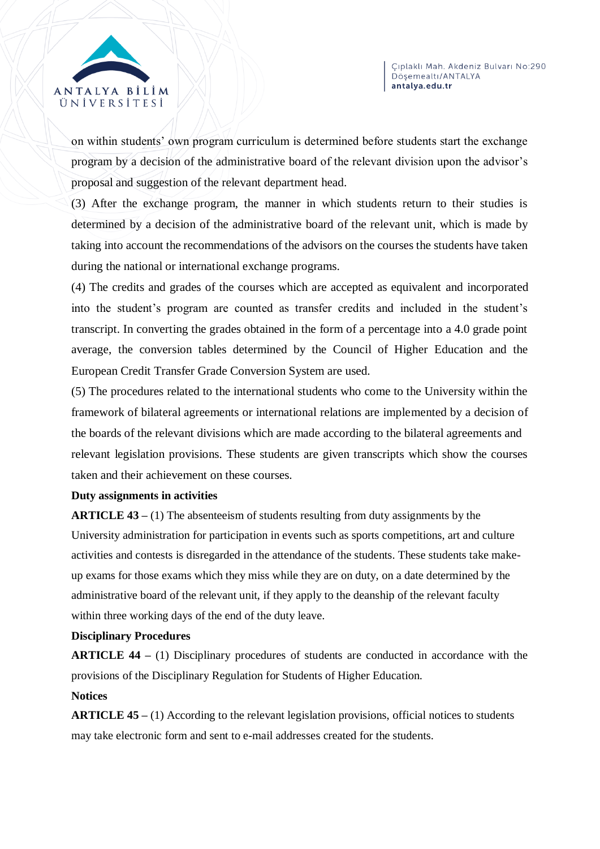

on within students' own program curriculum is determined before students start the exchange program by a decision of the administrative board of the relevant division upon the advisor's proposal and suggestion of the relevant department head.

(3) After the exchange program, the manner in which students return to their studies is determined by a decision of the administrative board of the relevant unit, which is made by taking into account the recommendations of the advisors on the courses the students have taken during the national or international exchange programs.

(4) The credits and grades of the courses which are accepted as equivalent and incorporated into the student's program are counted as transfer credits and included in the student's transcript. In converting the grades obtained in the form of a percentage into a 4.0 grade point average, the conversion tables determined by the Council of Higher Education and the European Credit Transfer Grade Conversion System are used.

(5) The procedures related to the international students who come to the University within the framework of bilateral agreements or international relations are implemented by a decision of the boards of the relevant divisions which are made according to the bilateral agreements and relevant legislation provisions. These students are given transcripts which show the courses taken and their achievement on these courses.

#### **Duty assignments in activities**

**ARTICLE 43 –** (1) The absenteeism of students resulting from duty assignments by the University administration for participation in events such as sports competitions, art and culture activities and contests is disregarded in the attendance of the students. These students take makeup exams for those exams which they miss while they are on duty, on a date determined by the administrative board of the relevant unit, if they apply to the deanship of the relevant faculty within three working days of the end of the duty leave.

#### **Disciplinary Procedures**

**ARTICLE 44 –** (1) Disciplinary procedures of students are conducted in accordance with the provisions of the Disciplinary Regulation for Students of Higher Education.

#### **Notices**

**ARTICLE 45 –** (1) According to the relevant legislation provisions, official notices to students may take electronic form and sent to e-mail addresses created for the students.